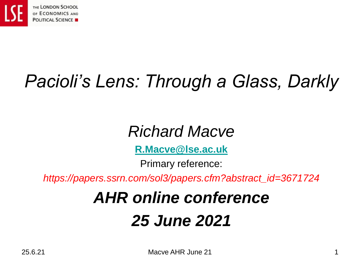

### *Pacioli's Lens: Through a Glass, Darkly*

#### *Richard Macve*

**[R.Macve@lse.ac.uk](mailto:R.Macve@lse.ac.uk)**

Primary reference:

*https://papers.ssrn.com/sol3/papers.cfm?abstract\_id=3671724*

#### *AHR online conference 25 June 2021*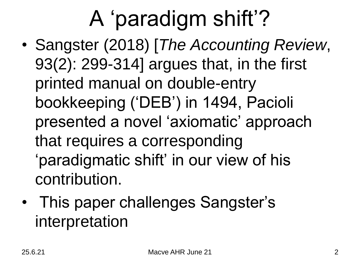### A 'paradigm shift'?

- Sangster (2018) [*The Accounting Review*, 93(2): 299-314] argues that, in the first printed manual on double-entry bookkeeping ('DEB') in 1494, Pacioli presented a novel 'axiomatic' approach that requires a corresponding 'paradigmatic shift' in our view of his contribution.
- This paper challenges Sangster's interpretation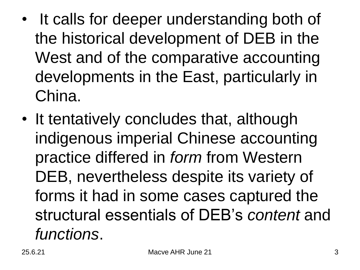- It calls for deeper understanding both of the historical development of DEB in the West and of the comparative accounting developments in the East, particularly in China.
- It tentatively concludes that, although indigenous imperial Chinese accounting practice differed in *form* from Western DEB, nevertheless despite its variety of forms it had in some cases captured the structural essentials of DEB's *content* and *functions*.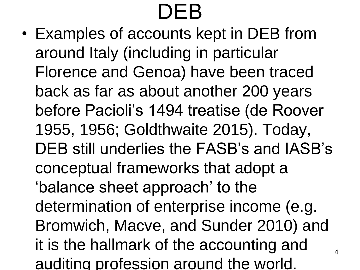### DEB

• Examples of accounts kept in DEB from around Italy (including in particular Florence and Genoa) have been traced back as far as about another 200 years before Pacioli's 1494 treatise (de Roover 1955, 1956; Goldthwaite 2015). Today, DEB still underlies the FASB's and IASB's conceptual frameworks that adopt a 'balance sheet approach' to the determination of enterprise income (e.g. Bromwich, Macve, and Sunder 2010) and it is the hallmark of the accounting and auditing profession around the world. 4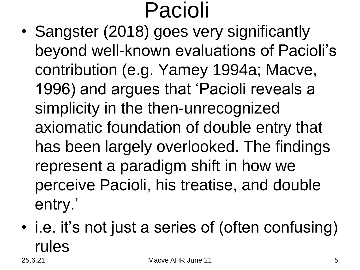### Pacioli

- Sangster (2018) goes very significantly beyond well-known evaluations of Pacioli's contribution (e.g. Yamey 1994a; Macve, 1996) and argues that 'Pacioli reveals a simplicity in the then-unrecognized axiomatic foundation of double entry that has been largely overlooked. The findings represent a paradigm shift in how we perceive Pacioli, his treatise, and double entry.'
- i.e. it's not just a series of (often confusing) rules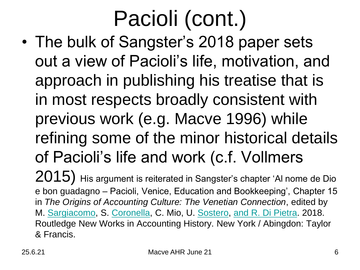### Pacioli (cont.)

• The bulk of Sangster's 2018 paper sets out a view of Pacioli's life, motivation, and approach in publishing his treatise that is in most respects broadly consistent with previous work (e.g. Macve 1996) while refining some of the minor historical details of Pacioli's life and work (c.f. Vollmers  $2015$ ) His argument is reiterated in Sangster's chapter 'Al nome de Dio e bon guadagno – Pacioli, Venice, Education and Bookkeeping', Chapter 15 in *The Origins of Accounting Culture: The Venetian Connection*, edited by M. [Sargiacomo,](https://www.amazon.co.uk/s/ref=dp_byline_sr_ebooks_1?ie=UTF8&field-author=Massimo+Sargiacomo&text=Massimo+Sargiacomo&sort=relevancerank&search-alias=digital-text) S. [Coronella,](https://www.amazon.co.uk/s/ref=dp_byline_sr_ebooks_2?ie=UTF8&field-author=Stefano+Coronella&text=Stefano+Coronella&sort=relevancerank&search-alias=digital-text) C. Mio, U. [Sostero](https://www.amazon.co.uk/s/ref=dp_byline_sr_ebooks_4?ie=UTF8&field-author=Ugo+Sostero&text=Ugo+Sostero&sort=relevancerank&search-alias=digital-text), [and R. Di Pietra](https://www.amazon.co.uk/s/ref=dp_byline_sr_ebooks_5?ie=UTF8&field-author=Roberto+Di+Pietra&text=Roberto+Di+Pietra&sort=relevancerank&search-alias=digital-text). 2018. Routledge New Works in Accounting History. New York / Abingdon: Taylor & Francis.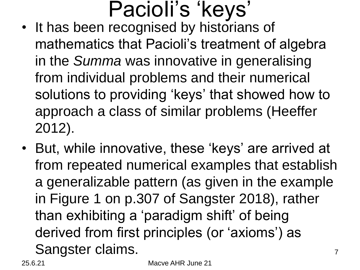### Pacioli's 'keys'

- It has been recognised by historians of mathematics that Pacioli's treatment of algebra in the *Summa* was innovative in generalising from individual problems and their numerical solutions to providing 'keys' that showed how to approach a class of similar problems (Heeffer 2012).
- But, while innovative, these 'keys' are arrived at from repeated numerical examples that establish a generalizable pattern (as given in the example in Figure 1 on p.307 of Sangster 2018), rather than exhibiting a 'paradigm shift' of being derived from first principles (or 'axioms') as Sangster claims. 7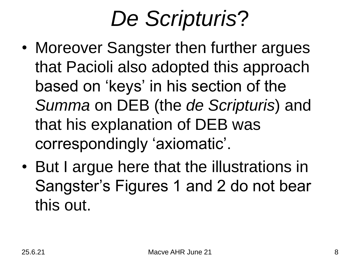### *De Scripturis*?

- Moreover Sangster then further argues that Pacioli also adopted this approach based on 'keys' in his section of the *Summa* on DEB (the *de Scripturis*) and that his explanation of DEB was correspondingly 'axiomatic'.
- But I argue here that the illustrations in Sangster's Figures 1 and 2 do not bear this out.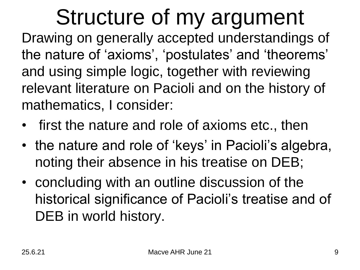### Structure of my argument

Drawing on generally accepted understandings of the nature of 'axioms', 'postulates' and 'theorems' and using simple logic, together with reviewing relevant literature on Pacioli and on the history of mathematics, I consider:

- first the nature and role of axioms etc., then
- the nature and role of 'keys' in Pacioli's algebra, noting their absence in his treatise on DEB;
- concluding with an outline discussion of the historical significance of Pacioli's treatise and of DEB in world history.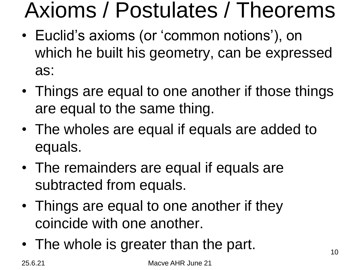### Axioms / Postulates / Theorems

- Euclid's axioms (or 'common notions'), on which he built his geometry, can be expressed as:
- Things are equal to one another if those things are equal to the same thing.
- The wholes are equal if equals are added to equals.
- The remainders are equal if equals are subtracted from equals.
- Things are equal to one another if they coincide with one another.
- The whole is greater than the part.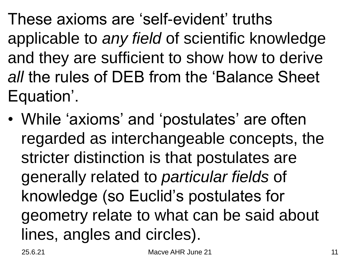These axioms are 'self-evident' truths applicable to *any field* of scientific knowledge and they are sufficient to show how to derive *all* the rules of DEB from the 'Balance Sheet Equation'.

• While 'axioms' and 'postulates' are often regarded as interchangeable concepts, the stricter distinction is that postulates are generally related to *particular fields* of knowledge (so Euclid's postulates for geometry relate to what can be said about lines, angles and circles).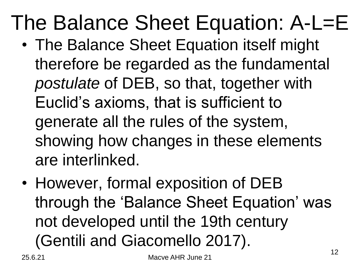### The Balance Sheet Equation: A-L=E

- The Balance Sheet Equation itself might therefore be regarded as the fundamental *postulate* of DEB, so that, together with Euclid's axioms, that is sufficient to generate all the rules of the system, showing how changes in these elements are interlinked.
- However, formal exposition of DEB through the 'Balance Sheet Equation' was not developed until the 19th century (Gentili and Giacomello 2017).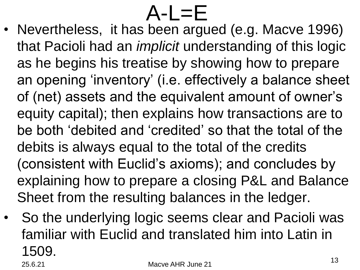

- Nevertheless, it has been argued (e.g. Macve 1996) that Pacioli had an *implicit* understanding of this logic as he begins his treatise by showing how to prepare an opening 'inventory' (i.e. effectively a balance sheet of (net) assets and the equivalent amount of owner's equity capital); then explains how transactions are to be both 'debited and 'credited' so that the total of the debits is always equal to the total of the credits (consistent with Euclid's axioms); and concludes by explaining how to prepare a closing P&L and Balance Sheet from the resulting balances in the ledger.
- So the underlying logic seems clear and Pacioli was familiar with Euclid and translated him into Latin in 1509. 25.6.21 Macve AHR June 21 <sup>13</sup>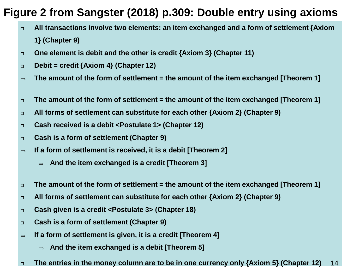#### **Figure 2 from Sangster (2018) p.309: Double entry using axioms**

- **All transactions involve two elements: an item exchanged and a form of settlement {Axiom 1} (Chapter 9)**
- **One element is debit and the other is credit {Axiom 3} (Chapter 11)**
- **Debit = credit {Axiom 4} (Chapter 12)**
- **The amount of the form of settlement = the amount of the item exchanged [Theorem 1]**
- **The amount of the form of settlement = the amount of the item exchanged [Theorem 1]**
- **All forms of settlement can substitute for each other {Axiom 2} (Chapter 9)**
- **Cash received is a debit <Postulate 1> (Chapter 12)**
- **Cash is a form of settlement (Chapter 9)**
- **If a form of settlement is received, it is a debit [Theorem 2]**
	- **And the item exchanged is a credit [Theorem 3]**
- **The amount of the form of settlement = the amount of the item exchanged [Theorem 1]**
- **All forms of settlement can substitute for each other {Axiom 2} (Chapter 9)**
- **Cash given is a credit <Postulate 3> (Chapter 18)**
- **Cash is a form of settlement (Chapter 9)**
- **If a form of settlement is given, it is a credit [Theorem 4]**
	- **And the item exchanged is a debit [Theorem 5]**
- **The entries in the money column are to be in one currency only {Axiom 5} (Chapter 12)** 14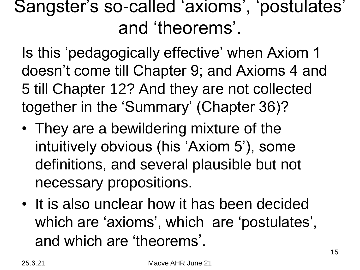#### Sangster's so-called 'axioms', 'postulates' and 'theorems'.

Is this 'pedagogically effective' when Axiom 1 doesn't come till Chapter 9; and Axioms 4 and 5 till Chapter 12? And they are not collected together in the 'Summary' (Chapter 36)?

- They are a bewildering mixture of the intuitively obvious (his 'Axiom 5'), some definitions, and several plausible but not necessary propositions.
- It is also unclear how it has been decided which are 'axioms', which are 'postulates', and which are 'theorems'.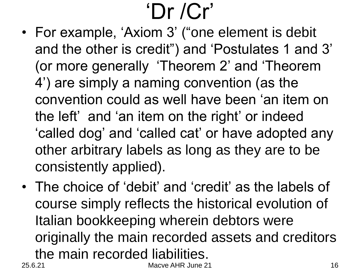### 'Dr /Cr'

- For example, 'Axiom 3' ("one element is debit and the other is credit") and 'Postulates 1 and 3' (or more generally 'Theorem 2' and 'Theorem 4') are simply a naming convention (as the convention could as well have been 'an item on the left' and 'an item on the right' or indeed 'called dog' and 'called cat' or have adopted any other arbitrary labels as long as they are to be consistently applied).
- The choice of 'debit' and 'credit' as the labels of course simply reflects the historical evolution of Italian bookkeeping wherein debtors were originally the main recorded assets and creditors the main recorded liabilities. 25.6.21 Macve AHR June 21 16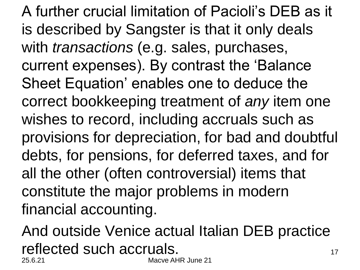A further crucial limitation of Pacioli's DEB as it is described by Sangster is that it only deals with *transactions* (e.g. sales, purchases, current expenses). By contrast the 'Balance Sheet Equation' enables one to deduce the correct bookkeeping treatment of *any* item one wishes to record, including accruals such as provisions for depreciation, for bad and doubtful debts, for pensions, for deferred taxes, and for all the other (often controversial) items that constitute the major problems in modern financial accounting.

And outside Venice actual Italian DEB practice reflected such accruals. 25.6.21 Macve AHR June 21 17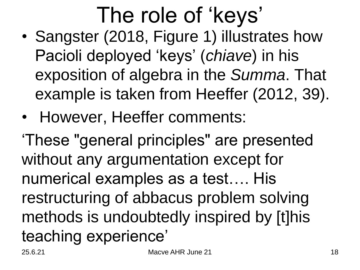### The role of 'keys'

- Sangster (2018, Figure 1) illustrates how Pacioli deployed 'keys' (*chiave*) in his exposition of algebra in the *Summa*. That example is taken from Heeffer (2012, 39).
- However, Heeffer comments:

'These "general principles" are presented without any argumentation except for numerical examples as a test…. His restructuring of abbacus problem solving methods is undoubtedly inspired by [t]his teaching experience'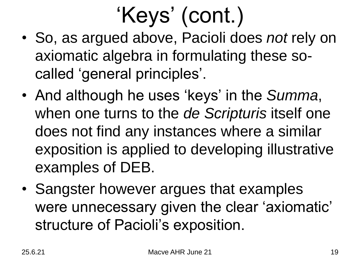### 'Keys' (cont.)

- So, as argued above, Pacioli does *not* rely on axiomatic algebra in formulating these socalled 'general principles'.
- And although he uses 'keys' in the *Summa*, when one turns to the *de Scripturis* itself one does not find any instances where a similar exposition is applied to developing illustrative examples of DEB.
- Sangster however argues that examples were unnecessary given the clear 'axiomatic' structure of Pacioli's exposition.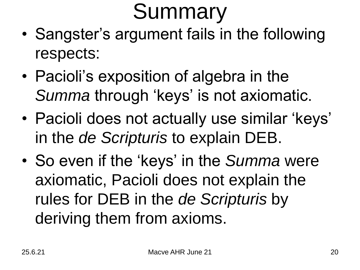### Summary

- Sangster's argument fails in the following respects:
- Pacioli's exposition of algebra in the *Summa* through 'keys' is not axiomatic.
- Pacioli does not actually use similar 'keys' in the *de Scripturis* to explain DEB.
- So even if the 'keys' in the *Summa* were axiomatic, Pacioli does not explain the rules for DEB in the *de Scripturis* by deriving them from axioms.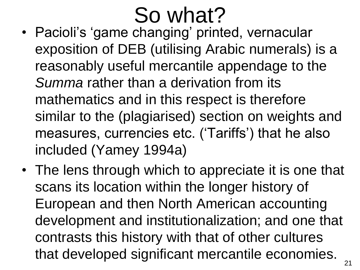### So what?

- Pacioli's 'game changing' printed, vernacular exposition of DEB (utilising Arabic numerals) is a reasonably useful mercantile appendage to the *Summa* rather than a derivation from its mathematics and in this respect is therefore similar to the (plagiarised) section on weights and measures, currencies etc. ('Tariffs') that he also included (Yamey 1994a)
- The lens through which to appreciate it is one that scans its location within the longer history of European and then North American accounting development and institutionalization; and one that contrasts this history with that of other cultures that developed significant mercantile economies.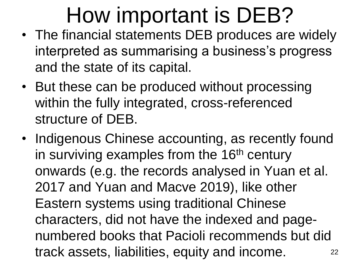### How important is DEB?

- The financial statements DEB produces are widely interpreted as summarising a business's progress and the state of its capital.
- But these can be produced without processing within the fully integrated, cross-referenced structure of DEB.
- Indigenous Chinese accounting, as recently found in surviving examples from the 16<sup>th</sup> century onwards (e.g. the records analysed in Yuan et al. 2017 and Yuan and Macve 2019), like other Eastern systems using traditional Chinese characters, did not have the indexed and pagenumbered books that Pacioli recommends but did track assets, liabilities, equity and income. 22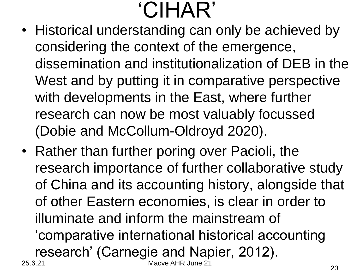### 'CIHAR'

- Historical understanding can only be achieved by considering the context of the emergence, dissemination and institutionalization of DEB in the West and by putting it in comparative perspective with developments in the East, where further research can now be most valuably focussed (Dobie and McCollum-Oldroyd 2020).
- Rather than further poring over Pacioli, the research importance of further collaborative study of China and its accounting history, alongside that of other Eastern economies, is clear in order to illuminate and inform the mainstream of 'comparative international historical accounting research' (Carnegie and Napier, 2012). 25.6.21 Macve AHR June 21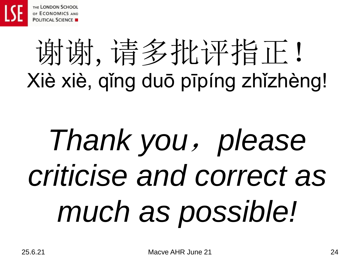

## 谢谢,请多批评指正! Xiè xiè, qǐng duō pīpíng zhǐzhèng!

# **Thank you, please** *criticise and correct as much as possible!*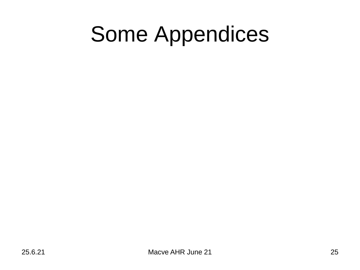### Some Appendices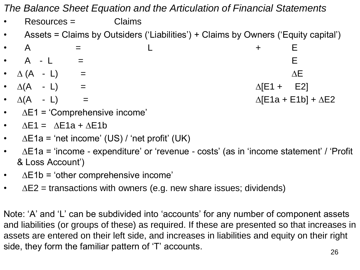*The Balance Sheet Equation and the Articulation of Financial Statements*

- Resources = Claims
- Assets = Claims by Outsiders ('Liabilities') + Claims by Owners ('Equity capital')
- A = L + E •  $A - L =$
- $\Delta(A L)$  = •  $\Delta(A - L)$  =  $\Delta[1 + E2]$ •  $\Delta(A - L)$  =  $\Delta[E1a + E1b] + \Delta E2$
- $\Delta E1$  = 'Comprehensive income'
- $\triangle E1 = \triangle E1a + \triangle E1b$
- $\Delta$ E1a = 'net income' (US) / 'net profit' (UK)
- $\Delta E1a$  = 'income expenditure' or 'revenue costs' (as in 'income statement' / 'Profit & Loss Account')
- $\Delta E1b = 6$  ther comprehensive income'
- $\triangle$ E2 = transactions with owners (e.g. new share issues; dividends)

Note: 'A' and 'L' can be subdivided into 'accounts' for any number of component assets and liabilities (or groups of these) as required. If these are presented so that increases in assets are entered on their left side, and increases in liabilities and equity on their right side, they form the familiar pattern of 'T' accounts.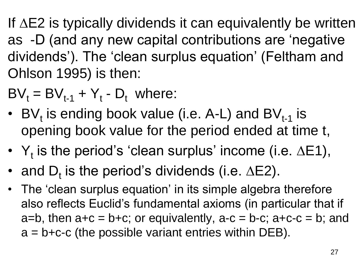If  $\Delta$ E2 is typically dividends it can equivalently be written as -D (and any new capital contributions are 'negative dividends'). The 'clean surplus equation' (Feltham and Ohlson 1995) is then:

 $BV_t = BV_{t-1} + Y_t - D_t$  where:

- BV<sub>t</sub> is ending book value (i.e. A-L) and BV<sub>t-1</sub> is opening book value for the period ended at time t,
- $Y_t$  is the period's 'clean surplus' income (i.e.  $\Delta$ E1),
- and  $D_t$  is the period's dividends (i.e.  $\Delta$ E2).
- The 'clean surplus equation' in its simple algebra therefore also reflects Euclid's fundamental axioms (in particular that if a=b, then  $a+c = b+c$ ; or equivalently,  $a-c = b-c$ ;  $a+c-c = b$ ; and  $a = b + c - c$  (the possible variant entries within DEB).